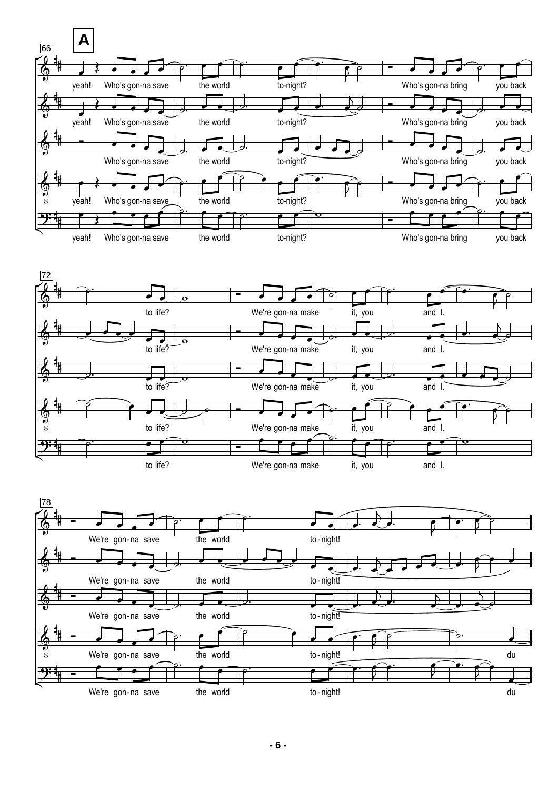